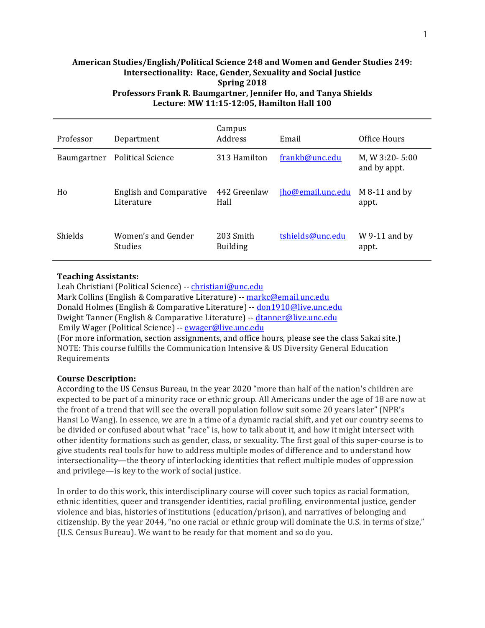### American Studies/English/Political Science 248 and Women and Gender Studies 249: **Intersectionality: Race, Gender, Sexuality and Social Justice Spring 2018** Professors Frank R. Baumgartner, Jennifer Ho, and Tanya Shields Lecture: MW 11:15-12:05, Hamilton Hall 100

| Professor      | Department                                   | Campus<br>Address            | Email             | Office Hours                   |
|----------------|----------------------------------------------|------------------------------|-------------------|--------------------------------|
| Baumgartner    | <b>Political Science</b>                     | 313 Hamilton                 | frankb@unc.edu    | M, W 3:20-5:00<br>and by appt. |
| Ho             | <b>English and Comparative</b><br>Literature | 442 Greenlaw<br>Hall         | jho@email.unc.edu | $M_8-11$ and by<br>appt.       |
| <b>Shields</b> | Women's and Gender<br><b>Studies</b>         | 203 Smith<br><b>Building</b> | tshields@unc.edu  | $W$ 9-11 and by<br>appt.       |

### **Teaching Assistants:**

Leah Christiani (Political Science) -- christiani@unc.edu Mark Collins (English & Comparative Literature) -- markc@email.unc.edu Donald Holmes (English & Comparative Literature) -- don1910@live.unc.edu Dwight Tanner (English & Comparative Literature) -- dtanner@live.unc.edu Emily Wager (Political Science) -- ewager@live.unc.edu (For more information, section assignments, and office hours, please see the class Sakai site.) NOTE: This course fulfills the Communication Intensive & US Diversity General Education Requirements

### **Course Description:**

According to the US Census Bureau, in the year 2020 "more than half of the nation's children are expected to be part of a minority race or ethnic group. All Americans under the age of 18 are now at the front of a trend that will see the overall population follow suit some 20 years later" (NPR's Hansi Lo Wang). In essence, we are in a time of a dynamic racial shift, and yet our country seems to be divided or confused about what "race" is, how to talk about it, and how it might intersect with other identity formations such as gender, class, or sexuality. The first goal of this super-course is to give students real tools for how to address multiple modes of difference and to understand how intersectionality—the theory of interlocking identities that reflect multiple modes of oppression and privilege—is key to the work of social justice.

In order to do this work, this interdisciplinary course will cover such topics as racial formation, ethnic identities, queer and transgender identities, racial profiling, environmental justice, gender violence and bias, histories of institutions (education/prison), and narratives of belonging and citizenship. By the year  $2044$ , "no one racial or ethnic group will dominate the U.S. in terms of size," (U.S. Census Bureau). We want to be ready for that moment and so do you.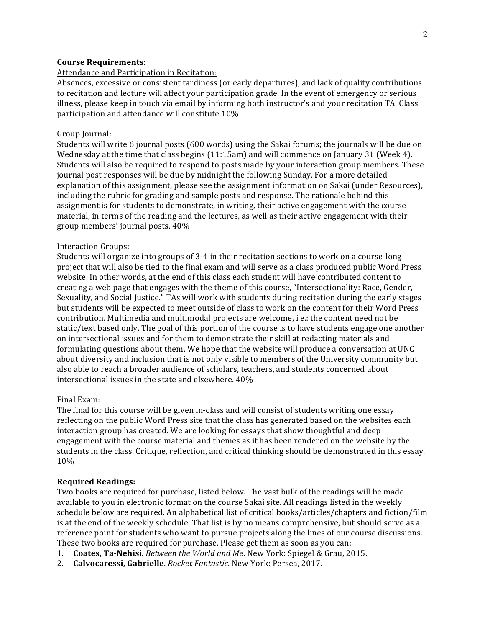### **Course Requirements:**

#### Attendance and Participation in Recitation:

Absences, excessive or consistent tardiness (or early departures), and lack of quality contributions to recitation and lecture will affect your participation grade. In the event of emergency or serious illness, please keep in touch via email by informing both instructor's and your recitation TA. Class participation and attendance will constitute 10%

#### Group Journal:

Students will write 6 journal posts (600 words) using the Sakai forums; the journals will be due on Wednesday at the time that class begins  $(11:15am)$  and will commence on January 31 (Week 4). Students will also be required to respond to posts made by your interaction group members. These journal post responses will be due by midnight the following Sunday. For a more detailed explanation of this assignment, please see the assignment information on Sakai (under Resources), including the rubric for grading and sample posts and response. The rationale behind this assignment is for students to demonstrate, in writing, their active engagement with the course material, in terms of the reading and the lectures, as well as their active engagement with their group members' journal posts.  $40\%$ 

#### Interaction Groups:

Students will organize into groups of 3-4 in their recitation sections to work on a course-long project that will also be tied to the final exam and will serve as a class produced public Word Press website. In other words, at the end of this class each student will have contributed content to creating a web page that engages with the theme of this course, "Intersectionality: Race, Gender, Sexuality, and Social Justice." TAs will work with students during recitation during the early stages but students will be expected to meet outside of class to work on the content for their Word Press contribution. Multimedia and multimodal projects are welcome, i.e.: the content need not be static/text based only. The goal of this portion of the course is to have students engage one another on intersectional issues and for them to demonstrate their skill at redacting materials and formulating questions about them. We hope that the website will produce a conversation at UNC about diversity and inclusion that is not only visible to members of the University community but also able to reach a broader audience of scholars, teachers, and students concerned about intersectional issues in the state and elsewhere.  $40\%$ 

#### Final Exam:

The final for this course will be given in-class and will consist of students writing one essay reflecting on the public Word Press site that the class has generated based on the websites each interaction group has created. We are looking for essays that show thoughtful and deep engagement with the course material and themes as it has been rendered on the website by the students in the class. Critique, reflection, and critical thinking should be demonstrated in this essay. 10%

#### **Required Readings:**

Two books are required for purchase, listed below. The vast bulk of the readings will be made available to you in electronic format on the course Sakai site. All readings listed in the weekly schedule below are required. An alphabetical list of critical books/articles/chapters and fiction/film is at the end of the weekly schedule. That list is by no means comprehensive, but should serve as a reference point for students who want to pursue projects along the lines of our course discussions. These two books are required for purchase. Please get them as soon as you can:

- 1. Coates, Ta-Nehisi. *Between the World and Me*. New York: Spiegel & Grau, 2015.
- 2. **Calvocaressi, Gabrielle**. *Rocket Fantastic*. New York: Persea, 2017.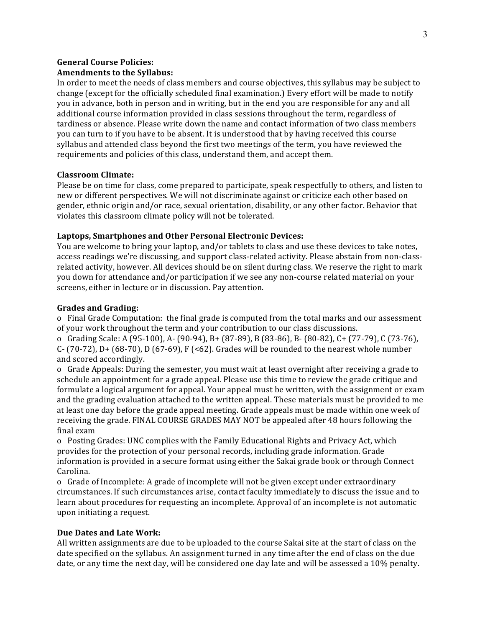### **General Course Policies: Amendments to the Syllabus:**

In order to meet the needs of class members and course objectives, this syllabus may be subject to change (except for the officially scheduled final examination.) Every effort will be made to notify you in advance, both in person and in writing, but in the end you are responsible for any and all additional course information provided in class sessions throughout the term, regardless of tardiness or absence. Please write down the name and contact information of two class members you can turn to if you have to be absent. It is understood that by having received this course syllabus and attended class beyond the first two meetings of the term, you have reviewed the requirements and policies of this class, understand them, and accept them.

### **Classroom Climate:**

Please be on time for class, come prepared to participate, speak respectfully to others, and listen to new or different perspectives. We will not discriminate against or criticize each other based on gender, ethnic origin and/or race, sexual orientation, disability, or any other factor. Behavior that violates this classroom climate policy will not be tolerated.

#### Laptops, Smartphones and Other Personal Electronic Devices:

You are welcome to bring your laptop, and/or tablets to class and use these devices to take notes, access readings we're discussing, and support class-related activity. Please abstain from non-classrelated activity, however. All devices should be on silent during class. We reserve the right to mark you down for attendance and/or participation if we see any non-course related material on your screens, either in lecture or in discussion. Pay attention.

### **Grades and Grading:**

o Final Grade Computation: the final grade is computed from the total marks and our assessment of your work throughout the term and your contribution to our class discussions.

o Grading Scale: A (95-100), A- (90-94), B+ (87-89), B (83-86), B- (80-82), C+ (77-79), C (73-76), C- (70-72), D+ (68-70), D (67-69), F (<62). Grades will be rounded to the nearest whole number and scored accordingly.

o Grade Appeals: During the semester, you must wait at least overnight after receiving a grade to schedule an appointment for a grade appeal. Please use this time to review the grade critique and formulate a logical argument for appeal. Your appeal must be written, with the assignment or exam and the grading evaluation attached to the written appeal. These materials must be provided to me at least one day before the grade appeal meeting. Grade appeals must be made within one week of receiving the grade. FINAL COURSE GRADES MAY NOT be appealed after 48 hours following the final exam

o Posting Grades: UNC complies with the Family Educational Rights and Privacy Act, which provides for the protection of your personal records, including grade information. Grade information is provided in a secure format using either the Sakai grade book or through Connect Carolina.

o Grade of Incomplete: A grade of incomplete will not be given except under extraordinary circumstances. If such circumstances arise, contact faculty immediately to discuss the issue and to learn about procedures for requesting an incomplete. Approval of an incomplete is not automatic upon initiating a request.

### **Due Dates and Late Work:**

All written assignments are due to be uploaded to the course Sakai site at the start of class on the date specified on the syllabus. An assignment turned in any time after the end of class on the due date, or any time the next day, will be considered one day late and will be assessed a 10% penalty.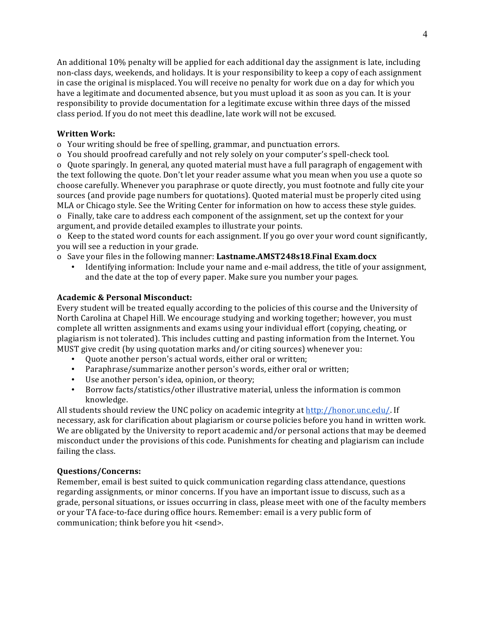An additional 10% penalty will be applied for each additional day the assignment is late, including non-class days, weekends, and holidays. It is your responsibility to keep a copy of each assignment in case the original is misplaced. You will receive no penalty for work due on a day for which you have a legitimate and documented absence, but you must upload it as soon as you can. It is your responsibility to provide documentation for a legitimate excuse within three days of the missed class period. If you do not meet this deadline, late work will not be excused.

### **Written Work:**

o Your writing should be free of spelling, grammar, and punctuation errors.

o You should proofread carefully and not rely solely on your computer's spell-check tool.

o Quote sparingly. In general, any quoted material must have a full paragraph of engagement with the text following the quote. Don't let your reader assume what you mean when you use a quote so choose carefully. Whenever you paraphrase or quote directly, you must footnote and fully cite your sources (and provide page numbers for quotations). Quoted material must be properly cited using MLA or Chicago style. See the Writing Center for information on how to access these style guides. o Finally, take care to address each component of the assignment, set up the context for your

argument, and provide detailed examples to illustrate your points.

o Keep to the stated word counts for each assignment. If you go over your word count significantly, you will see a reduction in your grade.

o Save your files in the following manner: **Lastname.AMST248s18**.**Final Exam**.**docx**

Identifying information: Include your name and e-mail address, the title of your assignment, and the date at the top of every paper. Make sure you number your pages.

### **Academic & Personal Misconduct:**

Every student will be treated equally according to the policies of this course and the University of North Carolina at Chapel Hill. We encourage studying and working together; however, you must complete all written assignments and exams using your individual effort (copying, cheating, or plagiarism is not tolerated). This includes cutting and pasting information from the Internet. You MUST give credit (by using quotation marks and/or citing sources) whenever you:

- Ouote another person's actual words, either oral or written;
- Paraphrase/summarize another person's words, either oral or written;
- Use another person's idea, opinion, or theory;
- Borrow facts/statistics/other illustrative material, unless the information is common knowledge.

All students should review the UNC policy on academic integrity at http://honor.unc.edu/. If necessary, ask for clarification about plagiarism or course policies before you hand in written work. We are obligated by the University to report academic and/or personal actions that may be deemed misconduct under the provisions of this code. Punishments for cheating and plagiarism can include failing the class.

### **Questions/Concerns:**

Remember, email is best suited to quick communication regarding class attendance, questions regarding assignments, or minor concerns. If you have an important issue to discuss, such as a grade, personal situations, or issues occurring in class, please meet with one of the faculty members or your TA face-to-face during office hours. Remember: email is a very public form of communication; think before you hit <send>.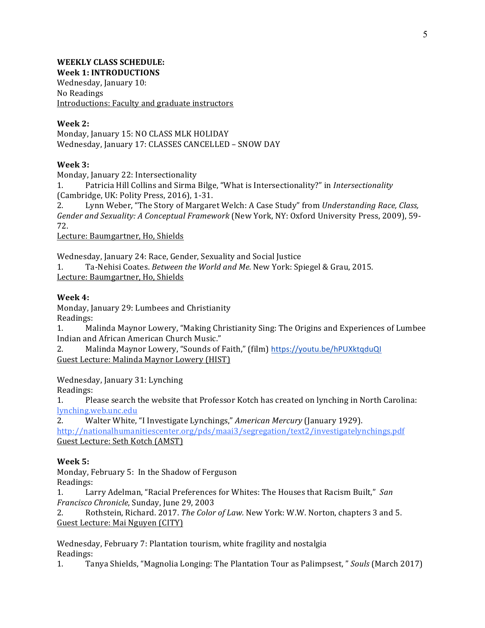#### **WEEKLY CLASS SCHEDULE: Week 1: INTRODUCTIONS**

Wednesday, January 10: No Readings Introductions: Faculty and graduate instructors

### **Week 2:**

Monday, January 15: NO CLASS MLK HOLIDAY Wednesday, January 17: CLASSES CANCELLED - SNOW DAY

### **Week 3:**

Monday, January 22: Intersectionality

1. Patricia Hill Collins and Sirma Bilge, "What is Intersectionality?" in *Intersectionality* (Cambridge, UK: Polity Press, 2016), 1-31.

2. Lynn Weber, "The Story of Margaret Welch: A Case Study" from *Understanding Race, Class, Gender and Sexuality: A Conceptual Framework* (New York, NY: Oxford University Press, 2009), 59-72.

Lecture: Baumgartner, Ho, Shields

Wednesday, January 24: Race, Gender, Sexuality and Social Justice

1. Ta-Nehisi Coates. *Between the World and Me*. New York: Spiegel & Grau, 2015. Lecture: Baumgartner, Ho, Shields

### **Week 4:**

Monday, January 29: Lumbees and Christianity Readings:

1. Malinda Maynor Lowery, "Making Christianity Sing: The Origins and Experiences of Lumbee Indian and African American Church Music."

2. Malinda Maynor Lowery, "Sounds of Faith," (film) https://youtu.be/hPUXktqduQI Guest Lecture: Malinda Maynor Lowery (HIST)

Wednesday, January 31: Lynching

Readings:

1. Please search the website that Professor Kotch has created on lynching in North Carolina: lynching.web.unc.edu

2. Walter White, "I Investigate Lynchings," *American Mercury* (January 1929).

http://nationalhumanitiescenter.org/pds/maai3/segregation/text2/investigatelynchings.pdf Guest Lecture: Seth Kotch (AMST)

### **Week 5:**

Monday, February 5: In the Shadow of Ferguson Readings:

1. Larry Adelman, "Racial Preferences for Whites: The Houses that Racism Built," San *Francisco Chronicle*, Sunday, June 29, 2003

2. Rothstein, Richard. 2017. *The Color of Law.* New York: W.W. Norton, chapters 3 and 5. Guest Lecture: Mai Nguyen (CITY)

Wednesday, February 7: Plantation tourism, white fragility and nostalgia Readings:

1. Tanya Shields, "Magnolia Longing: The Plantation Tour as Palimpsest, " *Souls* (March 2017)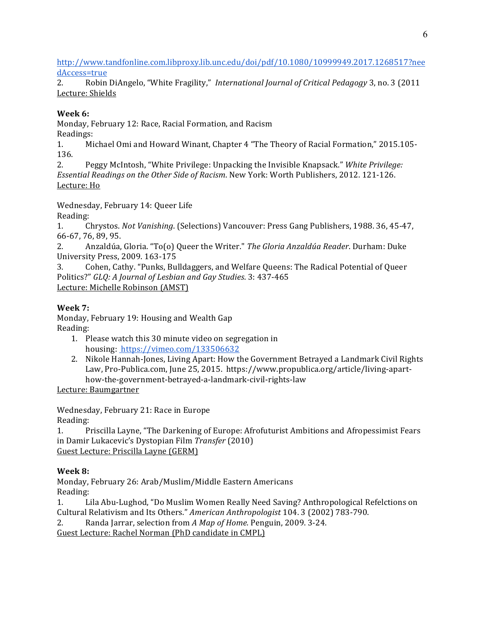http://www.tandfonline.com.libproxy.lib.unc.edu/doi/pdf/10.1080/10999949.2017.1268517?nee dAccess=true

2. Robin DiAngelo, "White Fragility," *International Journal of Critical Pedagogy* 3, no. 3 (2011) Lecture: Shields

# **Week 6:**

Monday, February 12: Race, Racial Formation, and Racism Readings:

1. Michael Omi and Howard Winant, Chapter 4 "The Theory of Racial Formation," 2015.105-136.

2. Peggy McIntosh, "White Privilege: Unpacking the Invisible Knapsack." *White Privilege: Essential Readings on the Other Side of Racism.* New York: Worth Publishers, 2012. 121-126. Lecture: Ho

Wednesday, February 14: Queer Life

Reading:

1. Chrystos. *Not Vanishing*. (Selections) Vancouver: Press Gang Publishers, 1988. 36, 45-47, 66-67, 76, 89, 95.

2. Anzaldúa, Gloria. "To(o) Queer the Writer." *The Gloria Anzaldúa Reader*. Durham: Duke University Press, 2009. 163-175

3. Cohen, Cathy. "Punks, Bulldaggers, and Welfare Queens: The Radical Potential of Queer Politics?" GLQ: A Journal of Lesbian and Gay Studies. 3: 437-465 Lecture: Michelle Robinson (AMST)

# **Week 7:**

Monday, February 19: Housing and Wealth Gap Reading:

- 1. Please watch this 30 minute video on segregation in housing: https://vimeo.com/133506632
- 2. Nikole Hannah-Jones, Living Apart: How the Government Betrayed a Landmark Civil Rights Law, Pro-Publica.com, June 25, 2015. https://www.propublica.org/article/living-aparthow-the-government-betrayed-a-landmark-civil-rights-law

Lecture: Baumgartner

Wednesday, February 21: Race in Europe

Reading:

1. Priscilla Layne, "The Darkening of Europe: Afrofuturist Ambitions and Afropessimist Fears in Damir Lukacevic's Dystopian Film Transfer (2010) Guest Lecture: Priscilla Layne (GERM)

# **Week 8:**

Monday, February 26: Arab/Muslim/Middle Eastern Americans Reading:

1. Lila Abu-Lughod, "Do Muslim Women Really Need Saving? Anthropological Refelctions on Cultural Relativism and Its Others." *American Anthropologist* 104. 3 (2002) 783-790.

2. Randa Jarrar, selection from A Map of Home. Penguin, 2009. 3-24.

Guest Lecture: Rachel Norman (PhD candidate in CMPL)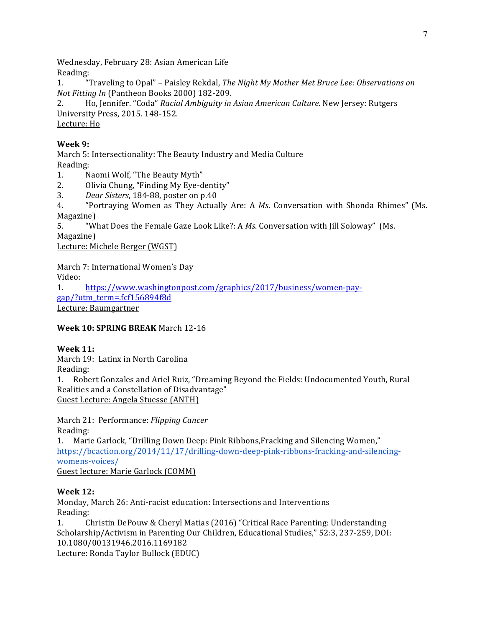Wednesday, February 28: Asian American Life Reading:

1. "Traveling to Opal" - Paisley Rekdal, *The Night My Mother Met Bruce Lee: Observations on Not Fitting In* (Pantheon Books 2000) 182-209.

2. Ho, Jennifer. "Coda" *Racial Ambiguity in Asian American Culture*. New Jersey: Rutgers University Press, 2015. 148-152.

Lecture: Ho

## **Week 9:**

March 5: Intersectionality: The Beauty Industry and Media Culture Reading:

- 1. Naomi Wolf, "The Beauty Myth"
- 2. Olivia Chung, "Finding My Eye-dentity"
- 3. *Dear Sisters*, 184-88, poster on p.40

4. "Portraying Women as They Actually Are: A *Ms*. Conversation with Shonda Rhimes" (Ms. Magazine)

5. "What Does the Female Gaze Look Like?: A *Ms*. Conversation with [ill Soloway" (Ms. Magazine)

Lecture: Michele Berger (WGST)

March 7: International Women's Day Video:

1. https://www.washingtonpost.com/graphics/2017/business/women-paygap/?utm\_term=.fcf156894f8d Lecture: Baumgartner

## **Week 10: SPRING BREAK** March 12-16

## **Week 11:**

March 19: Latinx in North Carolina

Reading:

1. Robert Gonzales and Ariel Ruiz, "Dreaming Beyond the Fields: Undocumented Youth, Rural Realities and a Constellation of Disadvantage" Guest Lecture: Angela Stuesse (ANTH)

March 21: Performance: *Flipping Cancer* Reading:

1. Marie Garlock, "Drilling Down Deep: Pink Ribbons, Fracking and Silencing Women," https://bcaction.org/2014/11/17/drilling-down-deep-pink-ribbons-fracking-and-silencingwomens-voices/ Guest lecture: Marie Garlock (COMM)

## **Week 12:**

Monday, March 26: Anti-racist education: Intersections and Interventions Reading:

1. Christin DePouw & Cheryl Matias (2016) "Critical Race Parenting: Understanding Scholarship/Activism in Parenting Our Children, Educational Studies," 52:3, 237-259, DOI: 10.1080/00131946.2016.1169182 Lecture: Ronda Taylor Bullock (EDUC)

7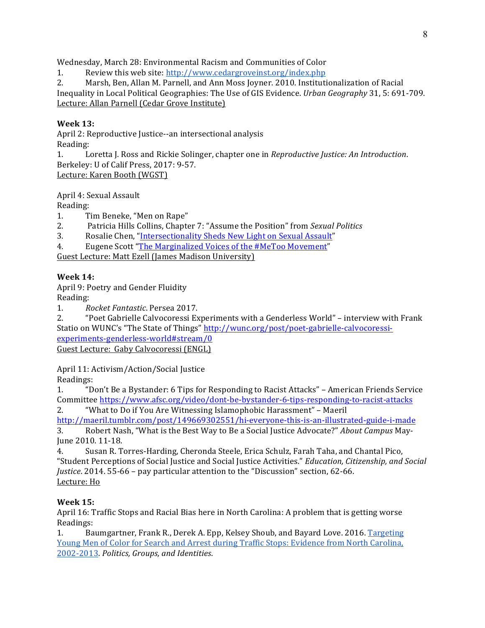Wednesday, March 28: Environmental Racism and Communities of Color

1. Review this web site: http://www.cedargroveinst.org/index.php

2. Marsh, Ben, Allan M. Parnell, and Ann Moss Joyner. 2010. Institutionalization of Racial Inequality in Local Political Geographies: The Use of GIS Evidence. *Urban Geography* 31, 5: 691-709. Lecture: Allan Parnell (Cedar Grove Institute)

## **Week 13:**

April 2: Reproductive Justice--an intersectional analysis Reading: 

1. Loretta J. Ross and Rickie Solinger, chapter one in *Reproductive Justice: An Introduction*. Berkeley: U of Calif Press, 2017: 9-57. Lecture: Karen Booth (WGST)

April 4: Sexual Assault

Reading:

- 1. Tim Beneke, "Men on Rape"
- 2. Patricia Hills Collins, Chapter 7: "Assume the Position" from *Sexual Politics*
- 3. Rosalie Chen, "Intersectionality Sheds New Light on Sexual Assault"
- 4. Eugene Scott "The Marginalized Voices of the #MeToo Movement"

Guest Lecture: Matt Ezell (James Madison University)

### **Week 14:**

April 9: Poetry and Gender Fluidity

Reading:

1. *Rocket Fantastic*. Persea 2017.

2. "Poet Gabrielle Calvocoressi Experiments with a Genderless World" – interview with Frank Statio on WUNC's "The State of Things" http://wunc.org/post/poet-gabrielle-calvocoressiexperiments-genderless-world#stream/0

Guest Lecture: Gaby Calvocoressi (ENGL)

April 11: Activism/Action/Social Justice

Readings:

1. "Don't Be a Bystander: 6 Tips for Responding to Racist Attacks" – American Friends Service Committee https://www.afsc.org/video/dont-be-bystander-6-tips-responding-to-racist-attacks

2. "What to Do if You Are Witnessing Islamophobic Harassment" - Maeril http://maeril.tumblr.com/post/149669302551/hi-everyone-this-is-an-illustrated-guide-i-made 3. Robert Nash, "What is the Best Way to Be a Social Justice Advocate?" About Campus May-

June 2010. 11-18. 4. Susan R. Torres-Harding, Cheronda Steele, Erica Schulz, Farah Taha, and Chantal Pico,

"Student Perceptions of Social Justice and Social Justice Activities." *Education, Citizenship, and Social Justice*. 2014. 55-66 - pay particular attention to the "Discussion" section, 62-66. Lecture: Ho

## **Week 15:**

April 16: Traffic Stops and Racial Bias here in North Carolina: A problem that is getting worse Readings:

1. Baumgartner, Frank R., Derek A. Epp, Kelsey Shoub, and Bayard Love. 2016. Targeting <u>Young Men of Color for Search and Arrest during Traffic Stops: Evidence from North Carolina,</u> 2002-2013. *Politics, Groups, and Identities*.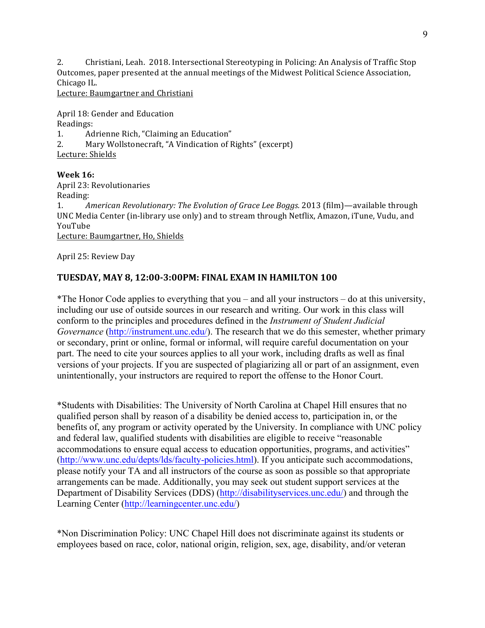2. Christiani, Leah. 2018. Intersectional Stereotyping in Policing: An Analysis of Traffic Stop Outcomes, paper presented at the annual meetings of the Midwest Political Science Association, Chicago IL.

Lecture: Baumgartner and Christiani

April 18: Gender and Education Readings: 1. Adrienne Rich, "Claiming an Education"

2. Mary Wollstonecraft, "A Vindication of Rights" (excerpt)

Lecture: Shields

**Week 16:** April 23: Revolutionaries Reading: 1. *American Revolutionary: The Evolution of Grace Lee Boggs.* 2013 (film)—available through UNC Media Center (in-library use only) and to stream through Netflix, Amazon, iTune, Vudu, and YouTube Lecture: Baumgartner, Ho, Shields

April 25: Review Day

## **TUESDAY, MAY 8, 12:00-3:00PM: FINAL EXAM IN HAMILTON 100**

\*The Honor Code applies to everything that you – and all your instructors – do at this university, including our use of outside sources in our research and writing. Our work in this class will conform to the principles and procedures defined in the *Instrument of Student Judicial Governance* (http://instrument.unc.edu/). The research that we do this semester, whether primary or secondary, print or online, formal or informal, will require careful documentation on your part. The need to cite your sources applies to all your work, including drafts as well as final versions of your projects. If you are suspected of plagiarizing all or part of an assignment, even unintentionally, your instructors are required to report the offense to the Honor Court.

\*Students with Disabilities: The University of North Carolina at Chapel Hill ensures that no qualified person shall by reason of a disability be denied access to, participation in, or the benefits of, any program or activity operated by the University. In compliance with UNC policy and federal law, qualified students with disabilities are eligible to receive "reasonable accommodations to ensure equal access to education opportunities, programs, and activities" (http://www.unc.edu/depts/lds/faculty-policies.html). If you anticipate such accommodations, please notify your TA and all instructors of the course as soon as possible so that appropriate arrangements can be made. Additionally, you may seek out student support services at the Department of Disability Services (DDS) (http://disabilityservices.unc.edu/) and through the Learning Center (http://learningcenter.unc.edu/)

\*Non Discrimination Policy: UNC Chapel Hill does not discriminate against its students or employees based on race, color, national origin, religion, sex, age, disability, and/or veteran